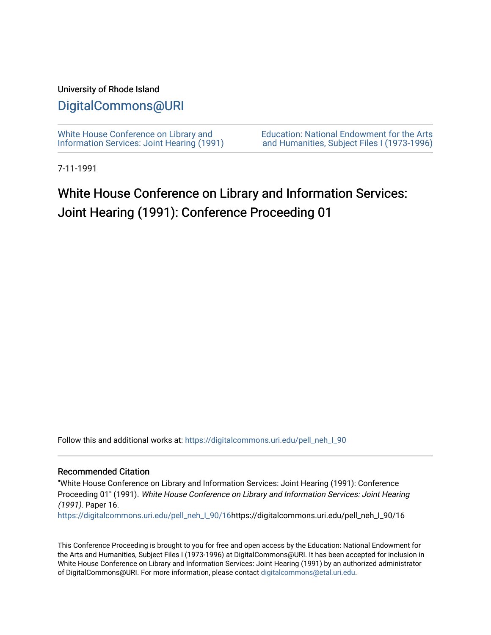# University of Rhode Island

# [DigitalCommons@URI](https://digitalcommons.uri.edu/)

[White House Conference on Library and](https://digitalcommons.uri.edu/pell_neh_I_90) [Information Services: Joint Hearing \(1991\)](https://digitalcommons.uri.edu/pell_neh_I_90) [Education: National Endowment for the Arts](https://digitalcommons.uri.edu/pell_neh_I)  [and Humanities, Subject Files I \(1973-1996\)](https://digitalcommons.uri.edu/pell_neh_I) 

7-11-1991

# White House Conference on Library and Information Services: Joint Hearing (1991): Conference Proceeding 01

Follow this and additional works at: [https://digitalcommons.uri.edu/pell\\_neh\\_I\\_90](https://digitalcommons.uri.edu/pell_neh_I_90?utm_source=digitalcommons.uri.edu%2Fpell_neh_I_90%2F16&utm_medium=PDF&utm_campaign=PDFCoverPages) 

#### Recommended Citation

"White House Conference on Library and Information Services: Joint Hearing (1991): Conference Proceeding 01" (1991). White House Conference on Library and Information Services: Joint Hearing (1991). Paper 16.

[https://digitalcommons.uri.edu/pell\\_neh\\_I\\_90/16h](https://digitalcommons.uri.edu/pell_neh_I_90/16?utm_source=digitalcommons.uri.edu%2Fpell_neh_I_90%2F16&utm_medium=PDF&utm_campaign=PDFCoverPages)ttps://digitalcommons.uri.edu/pell\_neh\_I\_90/16

This Conference Proceeding is brought to you for free and open access by the Education: National Endowment for the Arts and Humanities, Subject Files I (1973-1996) at DigitalCommons@URI. It has been accepted for inclusion in White House Conference on Library and Information Services: Joint Hearing (1991) by an authorized administrator of DigitalCommons@URI. For more information, please contact [digitalcommons@etal.uri.edu](mailto:digitalcommons@etal.uri.edu).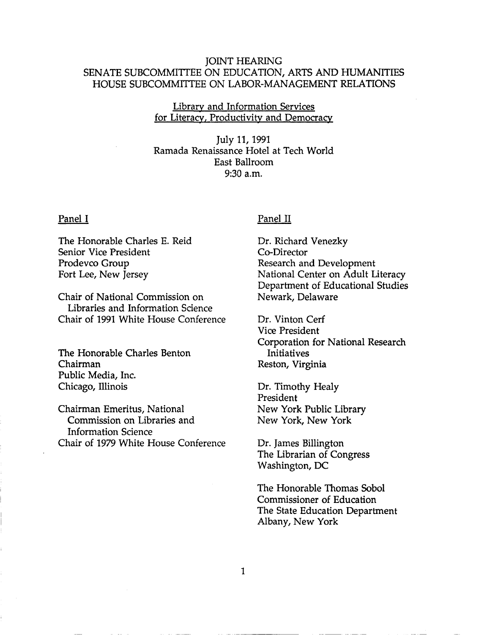# JOINT HEARING SENATE SUBCOMMITTEE ON EDUCATION, ARTS AND HUMANITIES HOUSE SUBCOMMITTEE ON LABOR-MANAGEMENT RELATIONS

# Library and Information Services for Literacy, Productivity and Democracy

July 11, 1991 Ramada Renaissance Hotel at Tech World East Ballroom 9:30 a.m.

### Panel I

The Honorable Charles E. Reid Senior Vice President Prodevco Group Fort Lee, New Jersey

Chair of National Commission on Libraries and Information Science Chair of 1991 White House Conference

The Honorable Charles Benton Chairman Public Media, Inc. Chicago, Illinois

Chairman Emeritus, National Commission on Libraries and Information Science Chair of 1979 White House Conference

## Panel II

Dr. Richard Venezky Co-Director Research and Development National Center on Adult Literacy Department of Educational Studies Newark, Delaware

Dr. Vinton Cerf Vice President Corporation for National Research Initiatives Reston, Virginia

Dr. Timothy Healy President New York Public Library New York, New York

Dr. James Billington The Librarian of Congress Washington, DC

The Honorable Thomas Sobol Commissioner of Education The State Education Department Albany, New York